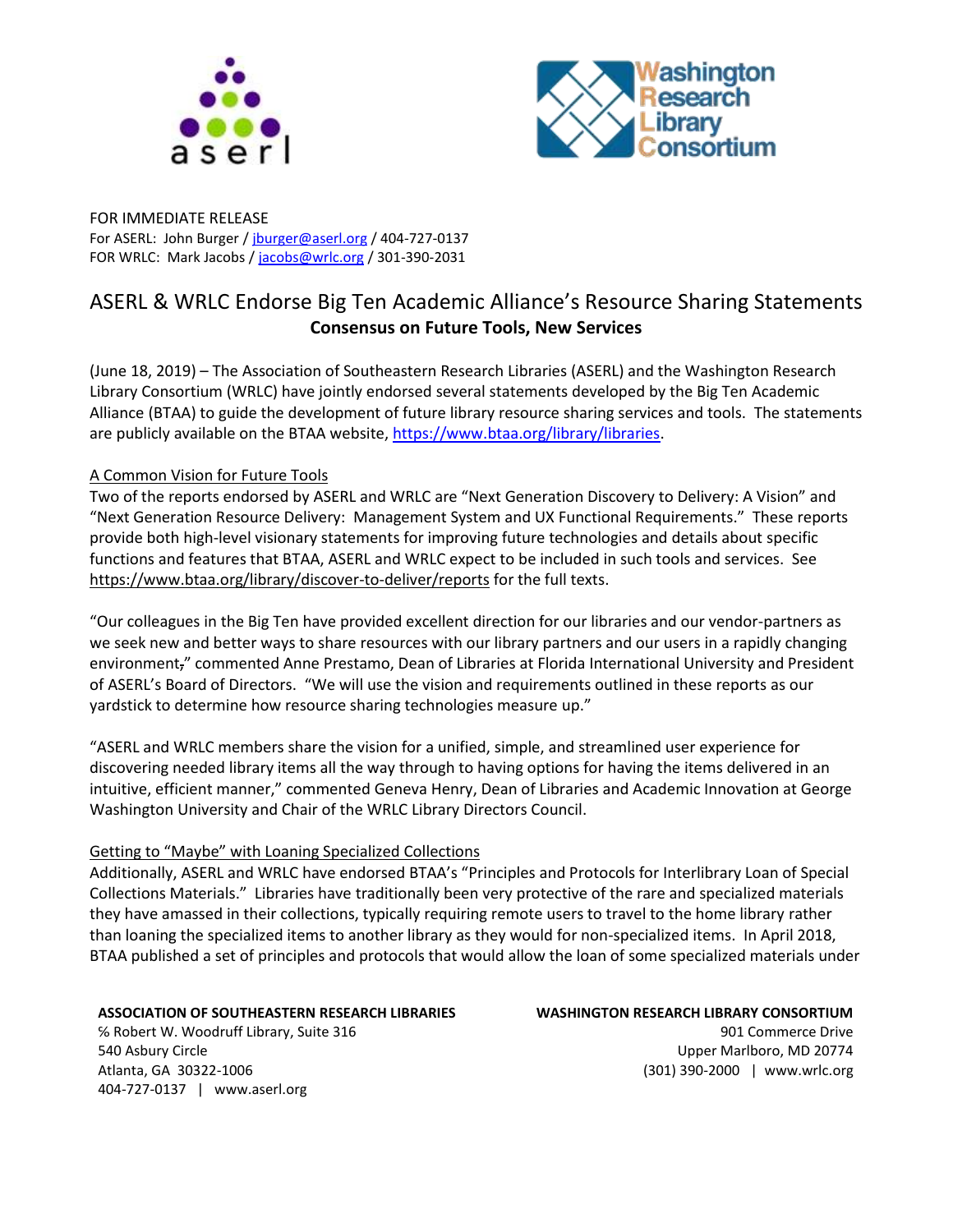



FOR IMMEDIATE RELEASE For ASERL: John Burger / [jburger@aserl.org](mailto:jburger@aserl.org) / 404-727-0137 FOR WRLC: Mark Jacobs / [jacobs@wrlc.org](mailto:jacobs@wrlc.org) / 301-390-2031

# ASERL & WRLC Endorse Big Ten Academic Alliance's Resource Sharing Statements **Consensus on Future Tools, New Services**

(June 18, 2019) – The Association of Southeastern Research Libraries (ASERL) and the Washington Research Library Consortium (WRLC) have jointly endorsed several statements developed by the Big Ten Academic Alliance (BTAA) to guide the development of future library resource sharing services and tools. The statements are publicly available on the BTAA website, [https://www.btaa.org/library/libraries.](https://www.btaa.org/library/libraries)

## A Common Vision for Future Tools

Two of the reports endorsed by ASERL and WRLC are "Next Generation Discovery to Delivery: A Vision" and "Next Generation Resource Delivery: Management System and UX Functional Requirements." These reports provide both high-level visionary statements for improving future technologies and details about specific functions and features that BTAA, ASERL and WRLC expect to be included in such tools and services. See <https://www.btaa.org/library/discover-to-deliver/reports> for the full texts.

"Our colleagues in the Big Ten have provided excellent direction for our libraries and our vendor-partners as we seek new and better ways to share resources with our library partners and our users in a rapidly changing environment," commented Anne Prestamo, Dean of Libraries at Florida International University and President of ASERL's Board of Directors. "We will use the vision and requirements outlined in these reports as our yardstick to determine how resource sharing technologies measure up."

"ASERL and WRLC members share the vision for a unified, simple, and streamlined user experience for discovering needed library items all the way through to having options for having the items delivered in an intuitive, efficient manner," commented Geneva Henry, Dean of Libraries and Academic Innovation at George Washington University and Chair of the WRLC Library Directors Council.

## Getting to "Maybe" with Loaning Specialized Collections

Additionally, ASERL and WRLC have endorsed BTAA's "Principles and Protocols for Interlibrary Loan of Special Collections Materials." Libraries have traditionally been very protective of the rare and specialized materials they have amassed in their collections, typically requiring remote users to travel to the home library rather than loaning the specialized items to another library as they would for non-specialized items. In April 2018, BTAA published a set of principles and protocols that would allow the loan of some specialized materials under

#### **ASSOCIATION OF SOUTHEASTERN RESEARCH LIBRARIES**

℅ Robert W. Woodruff Library, Suite 316 540 Asbury Circle Atlanta, GA 30322-1006 404-727-0137 | www.aserl.org

**WASHINGTON RESEARCH LIBRARY CONSORTIUM** 901 Commerce Drive Upper Marlboro, MD 20774 (301) 390-2000 | www.wrlc.org